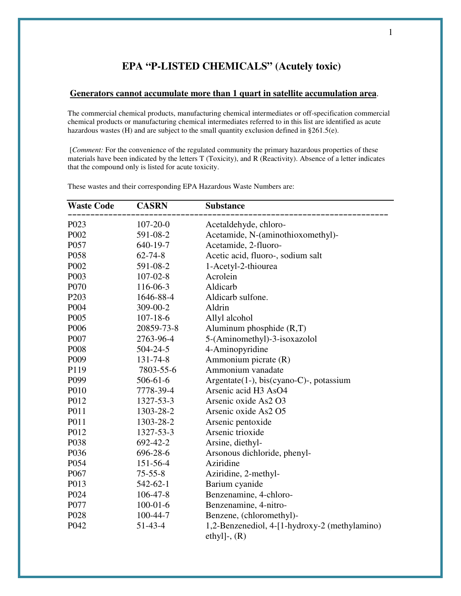## **EPA "P-LISTED CHEMICALS" (Acutely toxic)**

## **Generators cannot accumulate more than 1 quart in satellite accumulation area**.

The commercial chemical products, manufacturing chemical intermediates or off-specification commercial chemical products or manufacturing chemical intermediates referred to in this list are identified as acute hazardous wastes (H) and are subject to the small quantity exclusion defined in §261.5(e).

 [*Comment:* For the convenience of the regulated community the primary hazardous properties of these materials have been indicated by the letters T (Toxicity), and R (Reactivity). Absence of a letter indicates that the compound only is listed for acute toxicity.

| <b>Waste Code</b> | <b>CASRN</b>   | <b>Substance</b>                              |
|-------------------|----------------|-----------------------------------------------|
| P023              | $107 - 20 - 0$ | Acetaldehyde, chloro-                         |
| P002              | 591-08-2       | Acetamide, N-(aminothioxomethyl)-             |
| P057              | 640-19-7       | Acetamide, 2-fluoro-                          |
| P058              | $62 - 74 - 8$  | Acetic acid, fluoro-, sodium salt             |
| P002              | 591-08-2       | 1-Acetyl-2-thiourea                           |
| P003              | $107 - 02 - 8$ | Acrolein                                      |
| P070              | 116-06-3       | Aldicarb                                      |
| P <sub>203</sub>  | 1646-88-4      | Aldicarb sulfone.                             |
| P004              | 309-00-2       | Aldrin                                        |
| P <sub>005</sub>  | $107 - 18 - 6$ | Allyl alcohol                                 |
| P006              | 20859-73-8     | Aluminum phosphide $(R, T)$                   |
| P007              | 2763-96-4      | 5-(Aminomethyl)-3-isoxazolol                  |
| P008              | $504 - 24 - 5$ | 4-Aminopyridine                               |
| P <sub>009</sub>  | 131-74-8       | Ammonium picrate (R)                          |
| P119              | 7803-55-6      | Ammonium vanadate                             |
| P099              | $506 - 61 - 6$ | Argentate(1-), bis(cyano-C)-, potassium       |
| P010              | 7778-39-4      | Arsenic acid H3 AsO4                          |
| P012              | 1327-53-3      | Arsenic oxide As2 O3                          |
| P011              | 1303-28-2      | Arsenic oxide As2 O5                          |
| P011              | 1303-28-2      | Arsenic pentoxide                             |
| P012              | 1327-53-3      | Arsenic trioxide                              |
| P038              | 692-42-2       | Arsine, diethyl-                              |
| P036              | 696-28-6       | Arsonous dichloride, phenyl-                  |
| P054              | 151-56-4       | Aziridine                                     |
| P067              | $75 - 55 - 8$  | Aziridine, 2-methyl-                          |
| P013              | 542-62-1       | Barium cyanide                                |
| P024              | $106 - 47 - 8$ | Benzenamine, 4-chloro-                        |
| P077              | $100 - 01 - 6$ | Benzenamine, 4-nitro-                         |
| P <sub>028</sub>  | 100-44-7       | Benzene, (chloromethyl)-                      |
| P042              | 51-43-4        | 1,2-Benzenediol, 4-[1-hydroxy-2 (methylamino) |
|                   |                | ethyl]-, $(R)$                                |

These wastes and their corresponding EPA Hazardous Waste Numbers are: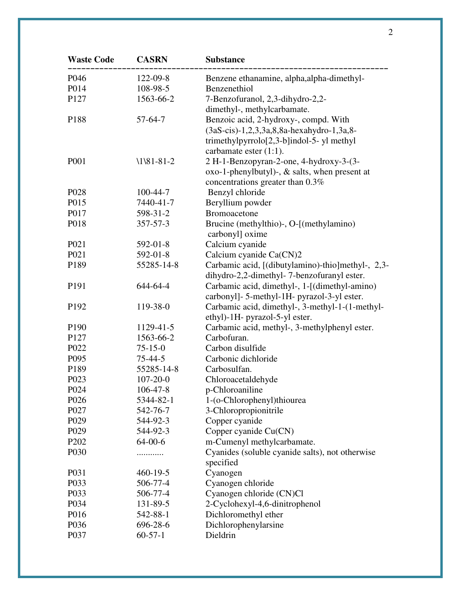| <b>Waste Code</b> | <b>CASRN</b>   | <b>Substance</b>                                                                               |
|-------------------|----------------|------------------------------------------------------------------------------------------------|
| P046              | 122-09-8       | Benzene ethanamine, alpha, alpha-dimethyl-                                                     |
| P014              | 108-98-5       | Benzenethiol                                                                                   |
| P127              | 1563-66-2      | 7-Benzofuranol, 2,3-dihydro-2,2-                                                               |
|                   |                | dimethyl-, methylcarbamate.                                                                    |
| P188              | $57-64-7$      | Benzoic acid, 2-hydroxy-, compd. With                                                          |
|                   |                | (3aS-cis)-1,2,3,3a,8,8a-hexahydro-1,3a,8-                                                      |
|                   |                | trimethylpyrrolo $[2,3-b]$ indol-5- yl methyl                                                  |
|                   |                | carbamate ester (1:1).                                                                         |
| P001              | $1181-81-2$    | 2 H-1-Benzopyran-2-one, 4-hydroxy-3-(3-                                                        |
|                   |                | oxo-1-phenylbutyl)-, & salts, when present at                                                  |
|                   |                | concentrations greater than 0.3%                                                               |
| P <sub>028</sub>  | 100-44-7       | Benzyl chloride                                                                                |
| P015              | 7440-41-7      | Beryllium powder                                                                               |
| P017              | 598-31-2       | <b>Bromoacetone</b>                                                                            |
| P018              | $357 - 57 - 3$ | Brucine (methylthio)-, O-[(methylamino)                                                        |
|                   |                | carbonyl] oxime                                                                                |
| P <sub>021</sub>  | 592-01-8       | Calcium cyanide                                                                                |
| P021              | 592-01-8       | Calcium cyanide Ca(CN)2                                                                        |
| P189              | 55285-14-8     | Carbamic acid, [(dibutylamino)-thio]methyl-, 2,3-                                              |
|                   |                | dihydro-2,2-dimethyl-7-benzofuranyl ester.                                                     |
| P191              | 644-64-4       | Carbamic acid, dimethyl-, 1-[(dimethyl-amino)                                                  |
| P192              | 119-38-0       | carbonyl]- 5-methyl-1H- pyrazol-3-yl ester.<br>Carbamic acid, dimethyl-, 3-methyl-1-(1-methyl- |
|                   |                | ethyl)-1H- pyrazol-5-yl ester.                                                                 |
| P190              | 1129-41-5      | Carbamic acid, methyl-, 3-methylphenyl ester.                                                  |
| P127              | 1563-66-2      | Carbofuran.                                                                                    |
| P <sub>022</sub>  | $75 - 15 - 0$  | Carbon disulfide                                                                               |
| P095              | $75 - 44 - 5$  | Carbonic dichloride                                                                            |
| P189              | 55285-14-8     | Carbosulfan.                                                                                   |
| P023              | $107 - 20 - 0$ | Chloroacetaldehyde                                                                             |
| P024              | 106-47-8       | p-Chloroaniline                                                                                |
| P <sub>026</sub>  | 5344-82-1      | 1-(o-Chlorophenyl)thiourea                                                                     |
| P <sub>027</sub>  | 542-76-7       | 3-Chloropropionitrile                                                                          |
| P <sub>029</sub>  | 544-92-3       | Copper cyanide                                                                                 |
| P <sub>029</sub>  | 544-92-3       | Copper cyanide Cu(CN)                                                                          |
| P <sub>202</sub>  | $64 - 00 - 6$  | m-Cumenyl methylcarbamate.                                                                     |
| P <sub>0</sub> 30 | .              | Cyanides (soluble cyanide salts), not otherwise                                                |
|                   |                | specified                                                                                      |
| P <sub>031</sub>  | $460 - 19 - 5$ | Cyanogen                                                                                       |
| P033              | 506-77-4       | Cyanogen chloride                                                                              |
| P033              | 506-77-4       | Cyanogen chloride (CN)Cl                                                                       |
| P <sub>0</sub> 34 | 131-89-5       | 2-Cyclohexyl-4,6-dinitrophenol                                                                 |
| P016              | 542-88-1       | Dichloromethyl ether                                                                           |
| P036              | 696-28-6       | Dichlorophenylarsine                                                                           |
| P037              | $60 - 57 - 1$  | Dieldrin                                                                                       |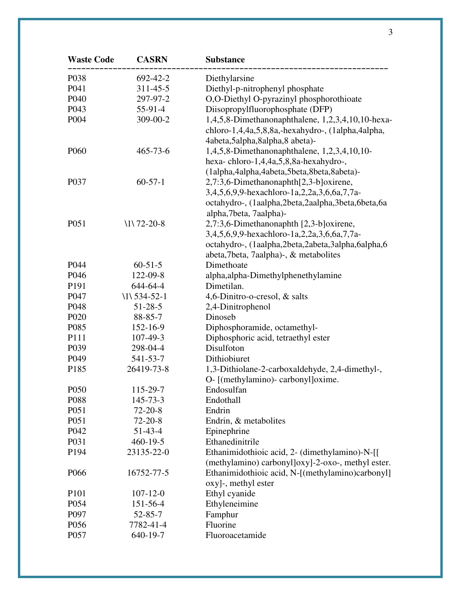| <b>Waste Code</b> | <b>CASRN</b>    | <b>Substance</b>                                                                                                                                                                      |
|-------------------|-----------------|---------------------------------------------------------------------------------------------------------------------------------------------------------------------------------------|
| P038              | 692-42-2        | Diethylarsine                                                                                                                                                                         |
| P041              | 311-45-5        | Diethyl-p-nitrophenyl phosphate                                                                                                                                                       |
| P040              | 297-97-2        | O,O-Diethyl O-pyrazinyl phosphorothioate                                                                                                                                              |
| P043              | 55-91-4         | Diisopropylfluorophosphate (DFP)                                                                                                                                                      |
| P004              | 309-00-2        | 1,4,5,8-Dimethanonaphthalene, 1,2,3,4,10,10-hexa-<br>chloro-1,4,4a,5,8,8a,-hexahydro-, (1alpha,4alpha,<br>4abeta, 5alpha, 8alpha, 8 abeta)-                                           |
| P <sub>060</sub>  | $465 - 73 - 6$  | 1,4,5,8-Dimethanonaphthalene, 1,2,3,4,10,10-<br>hexa-chloro-1,4,4a,5,8,8a-hexahydro-,<br>(1alpha,4alpha,4abeta,5beta,8beta,8abeta)-                                                   |
| P <sub>0</sub> 37 | $60 - 57 - 1$   | 2,7:3,6-Dimethanonaphth[2,3-b]oxirene,<br>3,4,5,6,9,9-hexachloro-1a,2,2a,3,6,6a,7,7a-<br>octahydro-, (1aalpha,2beta,2aalpha,3beta,6beta,6a<br>alpha, 7beta, 7aalpha)-                 |
| P051              | $1172 - 20 - 8$ | 2,7:3,6-Dimethanonaphth [2,3-b]oxirene,<br>3,4,5,6,9,9-hexachloro-1a,2,2a,3,6,6a,7,7a-<br>octahydro-, (1aalpha,2beta,2abeta,3alpha,6alpha,6<br>abeta, 7beta, 7aalpha)-, & metabolites |
| P044              | $60 - 51 - 5$   | Dimethoate                                                                                                                                                                            |
| P046              | 122-09-8        | alpha, alpha-Dimethylphenethylamine                                                                                                                                                   |
| P191              | 644-64-4        | Dimetilan.                                                                                                                                                                            |
| P047              | $11534-52-1$    | 4,6-Dinitro-o-cresol, & salts                                                                                                                                                         |
| P048              | $51 - 28 - 5$   | 2,4-Dinitrophenol                                                                                                                                                                     |
| P <sub>020</sub>  | 88-85-7         | Dinoseb                                                                                                                                                                               |
| P085              | 152-16-9        | Diphosphoramide, octamethyl-                                                                                                                                                          |
| P111              | 107-49-3        | Diphosphoric acid, tetraethyl ester                                                                                                                                                   |
| P039              | 298-04-4        | Disulfoton                                                                                                                                                                            |
| P049              | 541-53-7        | Dithiobiuret                                                                                                                                                                          |
| P185              | 26419-73-8      | 1,3-Dithiolane-2-carboxaldehyde, 2,4-dimethyl-,<br>O- [(methylamino)- carbonyl]oxime.                                                                                                 |
| P <sub>050</sub>  | 115-29-7        | Endosulfan                                                                                                                                                                            |
| P088              | $145 - 73 - 3$  | Endothall                                                                                                                                                                             |
| P051              | $72 - 20 - 8$   | Endrin                                                                                                                                                                                |
| P051              | $72 - 20 - 8$   | Endrin, & metabolites                                                                                                                                                                 |
| P042              | $51 - 43 - 4$   | Epinephrine                                                                                                                                                                           |
| P031              | $460 - 19 - 5$  | Ethanedinitrile                                                                                                                                                                       |
| P194              | 23135-22-0      | Ethanimidothioic acid, 2- (dimethylamino)-N-[[<br>(methylamino) carbonyl]oxy]-2-oxo-, methyl ester.                                                                                   |
| P <sub>066</sub>  | 16752-77-5      | Ethanimidothioic acid, N-[(methylamino)carbonyl]<br>oxy]-, methyl ester                                                                                                               |
| P <sub>10</sub> 1 | $107 - 12 - 0$  | Ethyl cyanide                                                                                                                                                                         |
| P054              | 151-56-4        | Ethyleneimine                                                                                                                                                                         |
| P <sub>097</sub>  | $52 - 85 - 7$   | Famphur                                                                                                                                                                               |
| P056              | 7782-41-4       | Fluorine                                                                                                                                                                              |
| P057              | 640-19-7        | Fluoroacetamide                                                                                                                                                                       |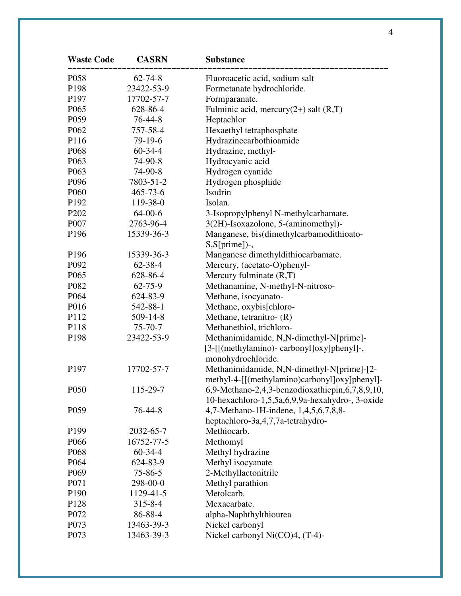| <b>Waste Code</b> | <b>CASRN</b>   | <b>Substance</b>                                |
|-------------------|----------------|-------------------------------------------------|
| P <sub>058</sub>  | $62 - 74 - 8$  | Fluoroacetic acid, sodium salt                  |
| P198              | 23422-53-9     | Formetanate hydrochloride.                      |
| P197              | 17702-57-7     | Formparanate.                                   |
| P <sub>065</sub>  | 628-86-4       | Fulminic acid, mercury $(2+)$ salt $(R,T)$      |
| P <sub>059</sub>  | $76 - 44 - 8$  | Heptachlor                                      |
| P062              | 757-58-4       | Hexaethyl tetraphosphate                        |
| P116              | 79-19-6        | Hydrazinecarbothioamide                         |
| P <sub>068</sub>  | $60 - 34 - 4$  | Hydrazine, methyl-                              |
| P <sub>063</sub>  | 74-90-8        | Hydrocyanic acid                                |
| P <sub>063</sub>  | 74-90-8        | Hydrogen cyanide                                |
| P096              | 7803-51-2      | Hydrogen phosphide                              |
| P <sub>060</sub>  | 465-73-6       | Isodrin                                         |
| P192              | 119-38-0       | Isolan.                                         |
| P <sub>202</sub>  | $64 - 00 - 6$  | 3-Isopropylphenyl N-methylcarbamate.            |
| P007              | 2763-96-4      | 3(2H)-Isoxazolone, 5-(aminomethyl)-             |
| P196              | 15339-36-3     | Manganese, bis(dimethylcarbamodithioato-        |
|                   |                | $S, S[prime]$ .                                 |
| P196              | 15339-36-3     | Manganese dimethyldithiocarbamate.              |
| P092              | 62-38-4        | Mercury, (acetato-O)phenyl-                     |
| P <sub>065</sub>  | 628-86-4       | Mercury fulminate $(R,T)$                       |
| P082              | $62 - 75 - 9$  | Methanamine, N-methyl-N-nitroso-                |
| P064              | 624-83-9       | Methane, isocyanato-                            |
| P016              | 542-88-1       | Methane, oxybis[chloro-                         |
| P112              | $509 - 14 - 8$ | Methane, tetranitro- (R)                        |
| P118              | $75 - 70 - 7$  | Methanethiol, trichloro-                        |
| P <sub>198</sub>  | 23422-53-9     | Methanimidamide, N,N-dimethyl-N[prime]-         |
|                   |                | [3-[[(methylamino)- carbonyl]oxy]phenyl]-,      |
|                   |                | monohydrochloride.                              |
| P <sub>197</sub>  | 17702-57-7     | Methanimidamide, N,N-dimethyl-N[prime]-[2-      |
|                   |                | methyl-4-[[(methylamino)carbonyl]oxy]phenyl]-   |
| P050              | 115-29-7       | 6,9-Methano-2,4,3-benzodioxathiepin,6,7,8,9,10, |
|                   |                | 10-hexachloro-1,5,5a,6,9,9a-hexahydro-, 3-oxide |
| P <sub>059</sub>  | $76 - 44 - 8$  | 4,7-Methano-1H-indene, 1,4,5,6,7,8,8-           |
|                   |                | heptachloro-3a, 4, 7, 7a-tetrahydro-            |
| P <sub>199</sub>  | 2032-65-7      | Methiocarb.                                     |
| P <sub>066</sub>  | 16752-77-5     | Methomyl                                        |
| P <sub>068</sub>  | $60-34-4$      | Methyl hydrazine                                |
| P <sub>064</sub>  | 624-83-9       | Methyl isocyanate                               |
| P <sub>069</sub>  | $75 - 86 - 5$  | 2-Methyllactonitrile                            |
| P071              | 298-00-0       | Methyl parathion                                |
| P <sub>190</sub>  | 1129-41-5      | Metolcarb.                                      |
| P128              | $315 - 8 - 4$  | Mexacarbate.                                    |
| P072              | 86-88-4        | alpha-Naphthylthiourea                          |
| P073              | 13463-39-3     | Nickel carbonyl                                 |
| P073              | 13463-39-3     | Nickel carbonyl Ni(CO)4, (T-4)-                 |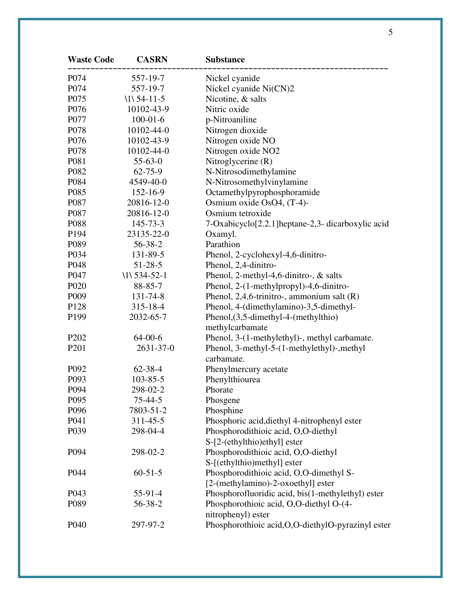| <b>Waste Code</b>             | <b>CASRN</b>   | <b>Substance</b>                                               |
|-------------------------------|----------------|----------------------------------------------------------------|
| P074                          | 557-19-7       | Nickel cyanide                                                 |
| P074                          | 557-19-7       | Nickel cyanide Ni(CN)2                                         |
| P075                          | $1154-11-5$    | Nicotine, & salts                                              |
| P076                          | 10102-43-9     | Nitric oxide                                                   |
| P077                          | $100 - 01 - 6$ | p-Nitroaniline                                                 |
| P078                          | 10102-44-0     | Nitrogen dioxide                                               |
| P076                          | 10102-43-9     | Nitrogen oxide NO                                              |
| P078                          | 10102-44-0     | Nitrogen oxide NO2                                             |
| P081                          | $55 - 63 - 0$  | Nitroglycerine (R)                                             |
| P082                          | $62 - 75 - 9$  | N-Nitrosodimethylamine                                         |
| P084                          | 4549-40-0      | N-Nitrosomethylvinylamine                                      |
| P085                          | 152-16-9       | Octamethylpyrophosphoramide                                    |
| P087                          | 20816-12-0     | Osmium oxide OsO4, (T-4)-                                      |
| P087                          | 20816-12-0     | Osmium tetroxide                                               |
| P088                          | 145-73-3       | 7-Oxabicyclo <sup>[2.2.1]</sup> heptane-2,3- dicarboxylic acid |
| P194                          | 23135-22-0     | Oxamyl.                                                        |
| P089                          | 56-38-2        | Parathion                                                      |
| P034                          | 131-89-5       | Phenol, 2-cyclohexyl-4,6-dinitro-                              |
| P048                          | $51 - 28 - 5$  | Phenol, 2,4-dinitro-                                           |
| P047                          | $11534-52-1$   | Phenol, 2-methyl-4,6-dinitro-, & salts                         |
| P <sub>020</sub>              | 88-85-7        | Phenol, 2-(1-methylpropyl)-4,6-dinitro-                        |
| P <sub>009</sub>              | 131-74-8       | Phenol, 2,4,6-trinitro-, ammonium salt $(R)$                   |
| P128                          | $315 - 18 - 4$ | Phenol, 4-(dimethylamino)-3,5-dimethyl-                        |
| P <sub>199</sub>              | 2032-65-7      | Phenol, $(3,5$ -dimethyl-4-(methylthio)                        |
|                               |                | methylcarbamate                                                |
| P <sub>2</sub> 0 <sub>2</sub> | $64 - 00 - 6$  | Phenol, 3-(1-methylethyl)-, methyl carbamate.                  |
| P <sub>201</sub>              | 2631-37-0      | Phenol, 3-methyl-5-(1-methylethyl)-, methyl                    |
|                               |                | carbamate.                                                     |
| P092                          | $62 - 38 - 4$  | Phenylmercury acetate                                          |
| P093                          | $103 - 85 - 5$ | Phenylthiourea                                                 |
| P094                          | 298-02-2       | Phorate                                                        |
| P095                          | $75 - 44 - 5$  | Phosgene                                                       |
| P096                          | 7803-51-2      | Phosphine                                                      |
| P041                          | 311-45-5       | Phosphoric acid, diethyl 4-nitrophenyl ester                   |
| P039                          | 298-04-4       | Phosphorodithioic acid, O,O-diethyl                            |
|                               |                | S-[2-(ethylthio)ethyl] ester                                   |
| P094                          | 298-02-2       | Phosphorodithioic acid, O,O-diethyl                            |
|                               |                | S-[(ethylthio)methyl] ester                                    |
| P044                          | $60 - 51 - 5$  | Phosphorodithioic acid, O,O-dimethyl S-                        |
|                               |                | [2-(methylamino)-2-oxoethyl] ester                             |
| P <sub>043</sub>              | 55-91-4        | Phosphorofluoridic acid, bis(1-methylethyl) ester              |
| P089                          | 56-38-2        | Phosphorothioic acid, O,O-diethyl O-(4-                        |
|                               |                | nitrophenyl) ester                                             |
| P <sub>040</sub>              | 297-97-2       | Phosphorothioic acid, O, O-diethylO-pyrazinyl ester            |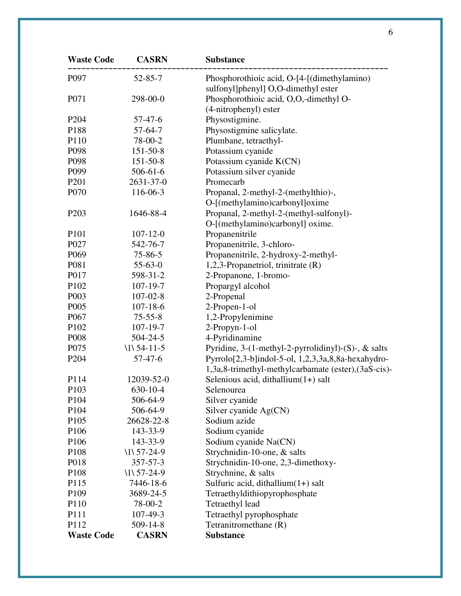| <b>Waste Code</b> | <b>CASRN</b>   | <b>Substance</b>                                                                   |
|-------------------|----------------|------------------------------------------------------------------------------------|
| P097              | $52 - 85 - 7$  | Phosphorothioic acid, O-[4-[(dimethylamino)<br>sulfonyl]phenyl] O,O-dimethyl ester |
| P071              | 298-00-0       | Phosphorothioic acid, O,O,-dimethyl O-                                             |
|                   |                | (4-nitrophenyl) ester                                                              |
| P <sub>204</sub>  | 57-47-6        | Physostigmine.                                                                     |
| P188              | $57-64-7$      | Physostigmine salicylate.                                                          |
| P110              | 78-00-2        | Plumbane, tetraethyl-                                                              |
| P098              | $151 - 50 - 8$ | Potassium cyanide                                                                  |
| P098              | $151 - 50 - 8$ | Potassium cyanide K(CN)                                                            |
| P <sub>099</sub>  | $506 - 61 - 6$ | Potassium silver cyanide                                                           |
| P <sub>201</sub>  | 2631-37-0      | Promecarb                                                                          |
| P070              | 116-06-3       | Propanal, 2-methyl-2-(methylthio)-,                                                |
|                   |                | O-[(methylamino)carbonyl]oxime                                                     |
| P <sub>203</sub>  | 1646-88-4      | Propanal, 2-methyl-2-(methyl-sulfonyl)-                                            |
|                   |                | O-[(methylamino)carbonyl] oxime.                                                   |
| P101              | $107 - 12 - 0$ | Propanenitrile                                                                     |
| P027              | 542-76-7       | Propanenitrile, 3-chloro-                                                          |
| P <sub>069</sub>  | $75 - 86 - 5$  | Propanenitrile, 2-hydroxy-2-methyl-                                                |
| P081              | $55-63-0$      | 1,2,3-Propanetriol, trinitrate (R)                                                 |
| P017              | 598-31-2       | 2-Propanone, 1-bromo-                                                              |
| P102              | $107 - 19 - 7$ | Propargyl alcohol                                                                  |
| P003              | $107 - 02 - 8$ | 2-Propenal                                                                         |
| P <sub>005</sub>  | $107 - 18 - 6$ | 2-Propen-1-ol                                                                      |
| P067              | $75 - 55 - 8$  | 1,2-Propylenimine                                                                  |
| P102              | $107 - 19 - 7$ | 2-Propyn-1-ol                                                                      |
| P008              | $504 - 24 - 5$ | 4-Pyridinamine                                                                     |
| P075              | $1154-11-5$    | Pyridine, 3-(1-methyl-2-pyrrolidinyl)-(S)-, $\&$ salts                             |
| P <sub>204</sub>  | 57-47-6        | Pyrrolo[2,3-b]indol-5-ol, 1,2,3,3a,8,8a-hexahydro-                                 |
|                   |                | 1,3a,8-trimethyl-methylcarbamate (ester), (3aS-cis)-                               |
| P114              | 12039-52-0     | Selenious acid, dithallium $(1+)$ salt                                             |
| P103              | 630-10-4       | Selenourea                                                                         |
| P <sub>104</sub>  | 506-64-9       | Silver cyanide                                                                     |
| P <sub>104</sub>  | 506-64-9       | Silver cyanide Ag(CN)                                                              |
| P <sub>105</sub>  | 26628-22-8     | Sodium azide                                                                       |
| P <sub>106</sub>  | 143-33-9       | Sodium cyanide                                                                     |
| P <sub>106</sub>  | 143-33-9       | Sodium cyanide Na(CN)                                                              |
| P <sub>108</sub>  | $1157-24-9$    | Strychnidin-10-one, & salts                                                        |
| P018              | 357-57-3       | Strychnidin-10-one, 2,3-dimethoxy-                                                 |
| P <sub>108</sub>  | $1157-24-9$    | Strychnine, & salts                                                                |
| P115              | 7446-18-6      | Sulfuric acid, dithallium(1+) salt                                                 |
| P <sub>109</sub>  | 3689-24-5      | Tetraethyldithiopyrophosphate                                                      |
| P <sub>110</sub>  | 78-00-2        | Tetraethyl lead                                                                    |
| P111              | $107 - 49 - 3$ | Tetraethyl pyrophosphate                                                           |
| P112              | 509-14-8       | Tetranitromethane (R)                                                              |
| <b>Waste Code</b> | <b>CASRN</b>   | <b>Substance</b>                                                                   |